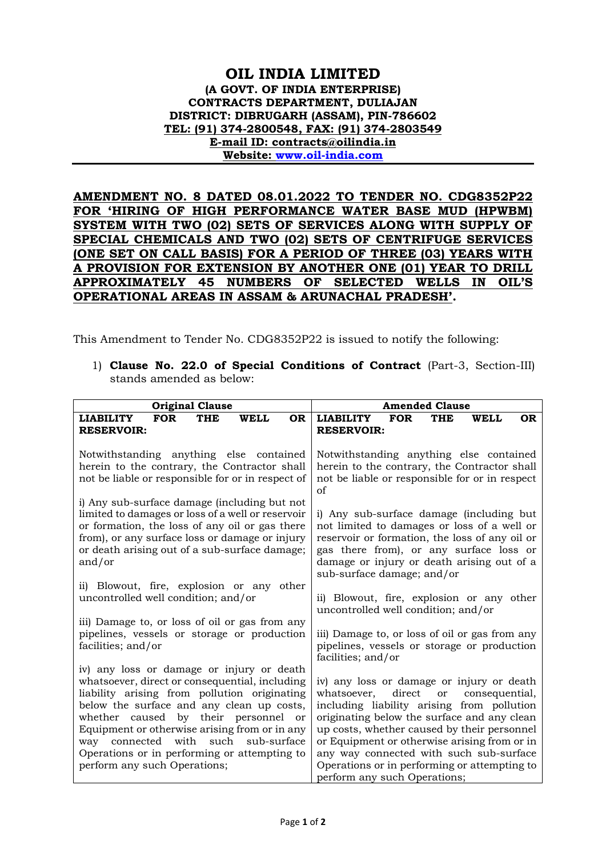## **OIL INDIA LIMITED (A GOVT. OF INDIA ENTERPRISE) CONTRACTS DEPARTMENT, DULIAJAN DISTRICT: DIBRUGARH (ASSAM), PIN-786602 TEL: (91) 374-2800548, FAX: (91) 374-2803549 E-mail ID: contracts@oilindia.in Website: [www.oil-india.com](http://www.oil-india.com/)**

**AMENDMENT NO. 8 DATED 08.01.2022 TO TENDER NO. CDG8352P22 FOR 'HIRING OF HIGH PERFORMANCE WATER BASE MUD (HPWBM) SYSTEM WITH TWO (02) SETS OF SERVICES ALONG WITH SUPPLY OF SPECIAL CHEMICALS AND TWO (02) SETS OF CENTRIFUGE SERVICES (ONE SET ON CALL BASIS) FOR A PERIOD OF THREE (03) YEARS WITH A PROVISION FOR EXTENSION BY ANOTHER ONE (01) YEAR TO DRILL APPROXIMATELY 45 NUMBERS OF SELECTED WELLS IN OIL'S OPERATIONAL AREAS IN ASSAM & ARUNACHAL PRADESH'.**

This Amendment to Tender No. CDG8352P22 is issued to notify the following:

1) **Clause No. 22.0 of Special Conditions of Contract** (Part-3, Section-III) stands amended as below:

| <b>Original Clause</b>                                                                                                                                                                                                                                                                                                                                                                                   | <b>Amended Clause</b>                                                                                                                                                                                                                                                                                                                                                                                             |
|----------------------------------------------------------------------------------------------------------------------------------------------------------------------------------------------------------------------------------------------------------------------------------------------------------------------------------------------------------------------------------------------------------|-------------------------------------------------------------------------------------------------------------------------------------------------------------------------------------------------------------------------------------------------------------------------------------------------------------------------------------------------------------------------------------------------------------------|
| <b>FOR</b>                                                                                                                                                                                                                                                                                                                                                                                               | <b>FOR</b>                                                                                                                                                                                                                                                                                                                                                                                                        |
| <b>OR</b>                                                                                                                                                                                                                                                                                                                                                                                                | <b>LIABILITY</b>                                                                                                                                                                                                                                                                                                                                                                                                  |
| <b>LIABILITY</b>                                                                                                                                                                                                                                                                                                                                                                                         | <b>THE</b>                                                                                                                                                                                                                                                                                                                                                                                                        |
| <b>THE</b>                                                                                                                                                                                                                                                                                                                                                                                               | <b>WELL</b>                                                                                                                                                                                                                                                                                                                                                                                                       |
| <b>WELL</b>                                                                                                                                                                                                                                                                                                                                                                                              | <b>OR</b>                                                                                                                                                                                                                                                                                                                                                                                                         |
| <b>RESERVOIR:</b>                                                                                                                                                                                                                                                                                                                                                                                        | <b>RESERVOIR:</b>                                                                                                                                                                                                                                                                                                                                                                                                 |
| Notwithstanding anything else contained<br>herein to the contrary, the Contractor shall<br>not be liable or responsible for or in respect of                                                                                                                                                                                                                                                             | Notwithstanding anything else contained<br>herein to the contrary, the Contractor shall<br>not be liable or responsible for or in respect<br>of                                                                                                                                                                                                                                                                   |
| i) Any sub-surface damage (including but not                                                                                                                                                                                                                                                                                                                                                             | i) Any sub-surface damage (including but                                                                                                                                                                                                                                                                                                                                                                          |
| limited to damages or loss of a well or reservoir                                                                                                                                                                                                                                                                                                                                                        | not limited to damages or loss of a well or                                                                                                                                                                                                                                                                                                                                                                       |
| or formation, the loss of any oil or gas there                                                                                                                                                                                                                                                                                                                                                           | reservoir or formation, the loss of any oil or                                                                                                                                                                                                                                                                                                                                                                    |
| from), or any surface loss or damage or injury                                                                                                                                                                                                                                                                                                                                                           | gas there from), or any surface loss or                                                                                                                                                                                                                                                                                                                                                                           |
| or death arising out of a sub-surface damage;                                                                                                                                                                                                                                                                                                                                                            | damage or injury or death arising out of a                                                                                                                                                                                                                                                                                                                                                                        |
| and/or                                                                                                                                                                                                                                                                                                                                                                                                   | sub-surface damage; and/or                                                                                                                                                                                                                                                                                                                                                                                        |
| ii) Blowout, fire, explosion or any other                                                                                                                                                                                                                                                                                                                                                                | ii) Blowout, fire, explosion or any other                                                                                                                                                                                                                                                                                                                                                                         |
| uncontrolled well condition; and/or                                                                                                                                                                                                                                                                                                                                                                      | uncontrolled well condition; and/or                                                                                                                                                                                                                                                                                                                                                                               |
| iii) Damage to, or loss of oil or gas from any                                                                                                                                                                                                                                                                                                                                                           | iii) Damage to, or loss of oil or gas from any                                                                                                                                                                                                                                                                                                                                                                    |
| pipelines, vessels or storage or production                                                                                                                                                                                                                                                                                                                                                              | pipelines, vessels or storage or production                                                                                                                                                                                                                                                                                                                                                                       |
| facilities; and/or                                                                                                                                                                                                                                                                                                                                                                                       | facilities; and/or                                                                                                                                                                                                                                                                                                                                                                                                |
| iv) any loss or damage or injury or death<br>whatsoever, direct or consequential, including<br>liability arising from pollution originating<br>below the surface and any clean up costs,<br>whether caused by their personnel or<br>Equipment or otherwise arising from or in any<br>way connected with such sub-surface<br>Operations or in performing or attempting to<br>perform any such Operations; | iv) any loss or damage or injury or death<br>direct<br>whatsoever,<br>consequential,<br>or<br>including liability arising from pollution<br>originating below the surface and any clean<br>up costs, whether caused by their personnel<br>or Equipment or otherwise arising from or in<br>any way connected with such sub-surface<br>Operations or in performing or attempting to<br>perform any such Operations; |